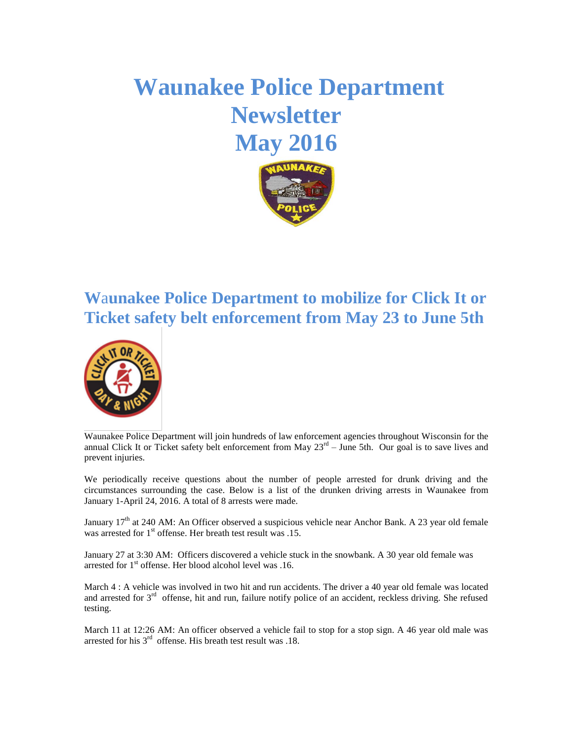## **Waunakee Police Department Newsletter May 2016**



## **W**a**unakee Police Department to mobilize for Click It or Ticket safety belt enforcement from May 23 to June 5th**



Waunakee Police Department will join hundreds of law enforcement agencies throughout Wisconsin for the annual Click It or Ticket safety belt enforcement from May  $23<sup>rd</sup> -$  June 5th. Our goal is to save lives and prevent injuries.

We periodically receive questions about the number of people arrested for drunk driving and the circumstances surrounding the case. Below is a list of the drunken driving arrests in Waunakee from January 1-April 24, 2016. A total of 8 arrests were made.

January  $17<sup>th</sup>$  at 240 AM: An Officer observed a suspicious vehicle near Anchor Bank. A 23 year old female was arrested for  $1<sup>st</sup>$  offense. Her breath test result was .15.

January 27 at 3:30 AM: Officers discovered a vehicle stuck in the snowbank. A 30 year old female was arrested for  $1<sup>st</sup>$  offense. Her blood alcohol level was .16.

March 4 : A vehicle was involved in two hit and run accidents. The driver a 40 year old female was located and arrested for 3rd offense, hit and run, failure notify police of an accident, reckless driving. She refused testing.

March 11 at 12:26 AM: An officer observed a vehicle fail to stop for a stop sign. A 46 year old male was arrested for his  $3<sup>rd</sup>$  offense. His breath test result was .18.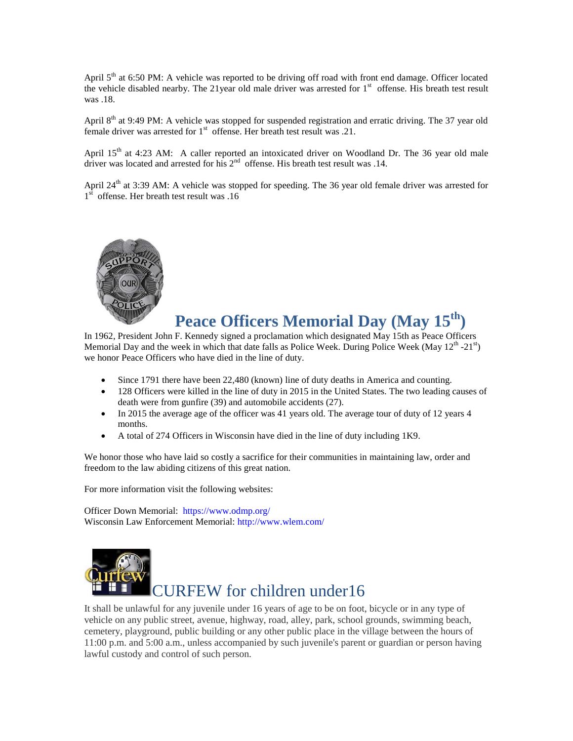April  $5<sup>th</sup>$  at 6:50 PM: A vehicle was reported to be driving off road with front end damage. Officer located the vehicle disabled nearby. The 21year old male driver was arrested for 1<sup>st</sup> offense. His breath test result was .18.

April 8<sup>th</sup> at 9:49 PM: A vehicle was stopped for suspended registration and erratic driving. The 37 year old female driver was arrested for  $1<sup>st</sup>$  offense. Her breath test result was .21.

April 15<sup>th</sup> at 4:23 AM: A caller reported an intoxicated driver on Woodland Dr. The 36 year old male driver was located and arrested for his  $2<sup>nd</sup>$  offense. His breath test result was .14.

April 24<sup>th</sup> at 3:39 AM: A vehicle was stopped for speeding. The 36 year old female driver was arrested for 1<sup>st</sup> offense. Her breath test result was .16



## **Peace Officers Memorial Day (May 15th)**

In 1962, President John F. Kennedy signed a proclamation which designated May 15th as Peace Officers Memorial Day and the week in which that date falls as Police Week. During Police Week (May  $12^{th}$  -21<sup>st</sup>) we honor Peace Officers who have died in the line of duty.

- Since 1791 there have been 22,480 (known) line of duty deaths in America and counting.
- 128 Officers were killed in the line of duty in 2015 in the United States. The two leading causes of death were from gunfire (39) and automobile accidents (27).
- In 2015 the average age of the officer was 41 years old. The average tour of duty of 12 years 4 months.
- A total of 274 Officers in Wisconsin have died in the line of duty including 1K9.

We honor those who have laid so costly a sacrifice for their communities in maintaining law, order and freedom to the law abiding citizens of this great nation.

For more information visit the following websites:

Officer Down Memorial: <https://www.odmp.org/> Wisconsin Law Enforcement Memorial:<http://www.wlem.com/>



CURFEW for children under16

It shall be unlawful for any juvenile under 16 years of age to be on foot, bicycle or in any type of vehicle on any public street, avenue, highway, road, alley, park, school grounds, swimming beach, cemetery, playground, public building or any other public place in the village between the hours of 11:00 p.m. and 5:00 a.m., unless accompanied by such juvenile's parent or guardian or person having lawful custody and control of such person.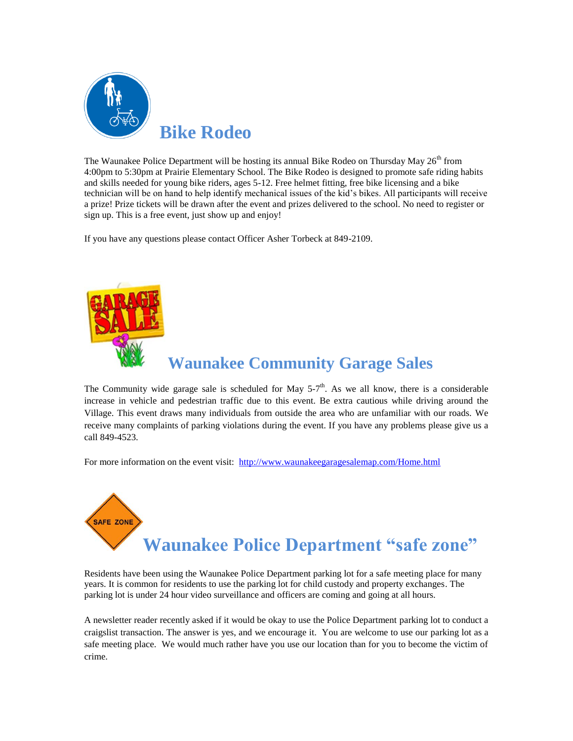

The Waunakee Police Department will be hosting its annual Bike Rodeo on Thursday May 26<sup>th</sup> from 4:00pm to 5:30pm at Prairie Elementary School. The Bike Rodeo is designed to promote safe riding habits and skills needed for young bike riders, ages 5-12. Free helmet fitting, free bike licensing and a bike technician will be on hand to help identify mechanical issues of the kid's bikes. All participants will receive a prize! Prize tickets will be drawn after the event and prizes delivered to the school. No need to register or sign up. This is a free event, just show up and enjoy!

If you have any questions please contact Officer Asher Torbeck at 849-2109.



The Community wide garage sale is scheduled for May  $5-7<sup>th</sup>$ . As we all know, there is a considerable increase in vehicle and pedestrian traffic due to this event. Be extra cautious while driving around the Village. This event draws many individuals from outside the area who are unfamiliar with our roads. We receive many complaints of parking violations during the event. If you have any problems please give us a call 849-4523.

For more information on the event visit: http://www.waunakeegaragesalemap.com/Home.html

# **SAFE ZONE Waunakee Police Department "safe zone"**

Residents have been using the Waunakee Police Department parking lot for a safe meeting place for many years. It is common for residents to use the parking lot for child custody and property exchanges. The parking lot is under 24 hour video surveillance and officers are coming and going at all hours.

A newsletter reader recently asked if it would be okay to use the Police Department parking lot to conduct a craigslist transaction. The answer is yes, and we encourage it. You are welcome to use our parking lot as a safe meeting place. We would much rather have you use our location than for you to become the victim of crime.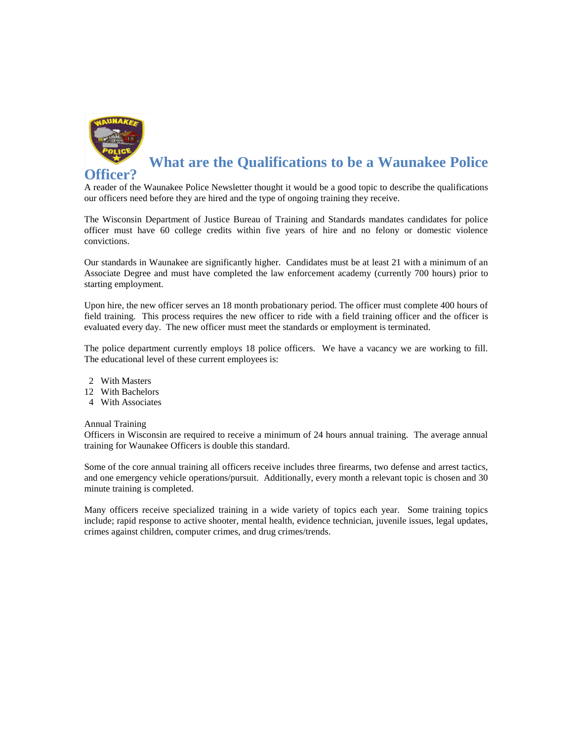

### **What are the Qualifications to be a Waunakee Police**

#### **Officer?**

A reader of the Waunakee Police Newsletter thought it would be a good topic to describe the qualifications our officers need before they are hired and the type of ongoing training they receive.

The Wisconsin Department of Justice Bureau of Training and Standards mandates candidates for police officer must have 60 college credits within five years of hire and no felony or domestic violence convictions.

Our standards in Waunakee are significantly higher. Candidates must be at least 21 with a minimum of an Associate Degree and must have completed the law enforcement academy (currently 700 hours) prior to starting employment.

Upon hire, the new officer serves an 18 month probationary period. The officer must complete 400 hours of field training. This process requires the new officer to ride with a field training officer and the officer is evaluated every day. The new officer must meet the standards or employment is terminated.

The police department currently employs 18 police officers. We have a vacancy we are working to fill. The educational level of these current employees is:

- 2 With Masters
- 12 With Bachelors
- 4 With Associates

#### Annual Training

Officers in Wisconsin are required to receive a minimum of 24 hours annual training. The average annual training for Waunakee Officers is double this standard.

Some of the core annual training all officers receive includes three firearms, two defense and arrest tactics, and one emergency vehicle operations/pursuit. Additionally, every month a relevant topic is chosen and 30 minute training is completed.

Many officers receive specialized training in a wide variety of topics each year. Some training topics include; rapid response to active shooter, mental health, evidence technician, juvenile issues, legal updates, crimes against children, computer crimes, and drug crimes/trends.